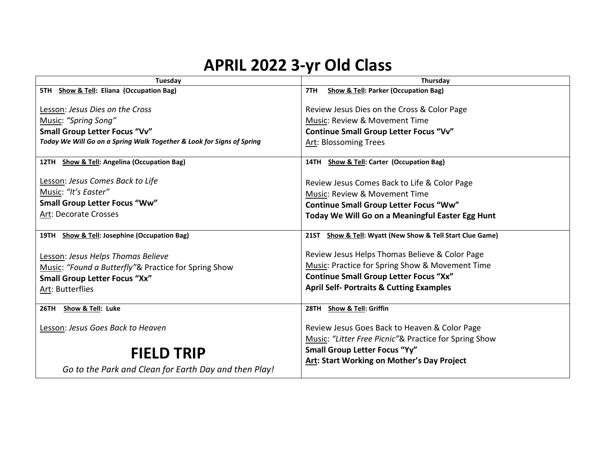## **APRIL 2022 3-yr Old Class**

| Tuesday                                                               | Thursday                                                            |
|-----------------------------------------------------------------------|---------------------------------------------------------------------|
| 5TH Show & Tell: Eliana (Occupation Bag)                              | <b>Show &amp; Tell: Parker (Occupation Bag)</b><br>7TH              |
|                                                                       |                                                                     |
| Lesson: Jesus Dies on the Cross                                       | Review Jesus Dies on the Cross & Color Page                         |
| Music: "Spring Song"                                                  | Music: Review & Movement Time                                       |
| Small Group Letter Focus "Vv"                                         | <b>Continue Small Group Letter Focus "Vv"</b>                       |
| Today We Will Go on a Spring Walk Together & Look for Signs of Spring | Art: Blossoming Trees                                               |
|                                                                       |                                                                     |
| 12TH Show & Tell: Angelina (Occupation Bag)                           | 14TH Show & Tell: Carter (Occupation Bag)                           |
| Lesson: Jesus Comes Back to Life                                      |                                                                     |
|                                                                       | Review Jesus Comes Back to Life & Color Page                        |
| Music: "It's Easter"                                                  | Music: Review & Movement Time                                       |
| <b>Small Group Letter Focus "Ww"</b>                                  | <b>Continue Small Group Letter Focus "Ww"</b>                       |
| Art: Decorate Crosses                                                 | Today We Will Go on a Meaningful Easter Egg Hunt                    |
|                                                                       |                                                                     |
| 19TH Show & Tell: Josephine (Occupation Bag)                          | Show & Tell: Wyatt (New Show & Tell Start Clue Game)<br><b>21ST</b> |
| Lesson: Jesus Helps Thomas Believe                                    | Review Jesus Helps Thomas Believe & Color Page                      |
| Music: "Found a Butterfly"& Practice for Spring Show                  | <b>Music: Practice for Spring Show &amp; Movement Time</b>          |
| <b>Small Group Letter Focus "Xx"</b>                                  | <b>Continue Small Group Letter Focus "Xx"</b>                       |
| Art: Butterflies                                                      | <b>April Self- Portraits &amp; Cutting Examples</b>                 |
|                                                                       |                                                                     |
| 26TH Show & Tell: Luke                                                | 28TH Show & Tell: Griffin                                           |
|                                                                       |                                                                     |
| Lesson: Jesus Goes Back to Heaven                                     | Review Jesus Goes Back to Heaven & Color Page                       |
|                                                                       | Music: "Litter Free Picnic"& Practice for Spring Show               |
| <b>FIELD TRIP</b>                                                     | <b>Small Group Letter Focus "Yy"</b>                                |
|                                                                       | <b>Art: Start Working on Mother's Day Project</b>                   |
| Go to the Park and Clean for Earth Day and then Play!                 |                                                                     |